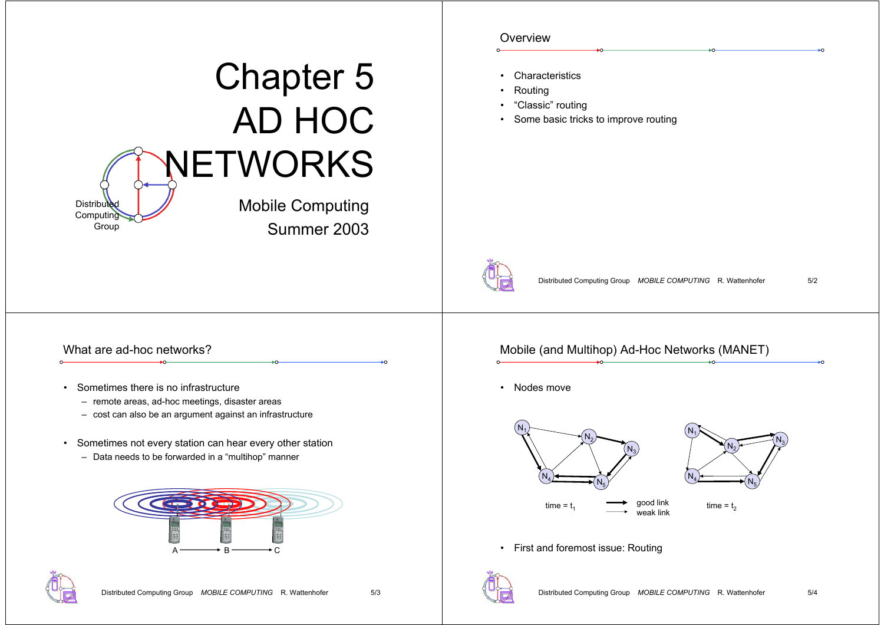|                                                                                                                   | Overview                                                                                      |
|-------------------------------------------------------------------------------------------------------------------|-----------------------------------------------------------------------------------------------|
| <b>Chapter 5</b><br><b>AD HOC</b>                                                                                 | • Characteristics<br>Routing<br>"Classic" routing<br>• Some basic tricks to improve routing   |
| NETWORKS                                                                                                          |                                                                                               |
| <b>Mobile Computing</b><br><b>Distributed</b><br>Computing<br>Group<br>Summer 2003                                |                                                                                               |
|                                                                                                                   | Distributed Computing Group MOBILE COMPUTING R. Wattenhofer<br>5/2                            |
| What are ad-hoc networks?                                                                                         | Mobile (and Multihop) Ad-Hoc Networks (MANET)<br>÷٥                                           |
| Sometimes there is no infrastructure                                                                              | • Nodes move                                                                                  |
| - remote areas, ad-hoc meetings, disaster areas<br>- cost can also be an argument against an infrastructure       | N <sub>1</sub>                                                                                |
| • Sometimes not every station can hear every other station<br>- Data needs to be forwarded in a "multihop" manner |                                                                                               |
| $\left(\frac{1}{2},\frac{1}{2},\frac{1}{2}\right)$<br>B<br>۰c<br>$A^{\circ}$                                      | good link<br>time = $t_1$<br>time = $t_2$<br>weak link<br>• First and foremost issue: Routing |
| Distributed Computing Group MOBILE COMPUTING R. Wattenhofer<br>5/3                                                | Distributed Computing Group MOBILE COMPUTING R. Wattenhofer<br>5/4                            |

÷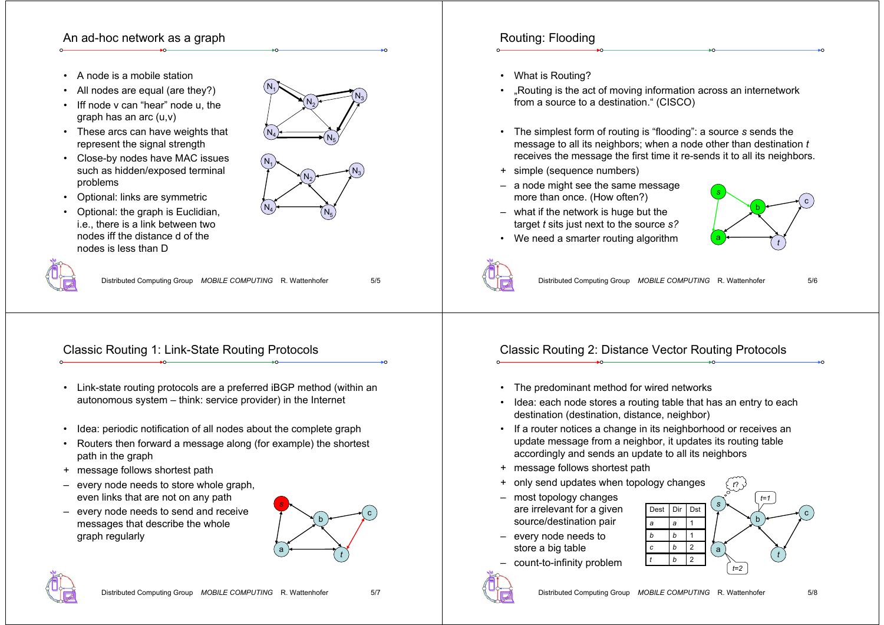#### An ad-hoc network as a graph

- •A node is a mobile station
- •All nodes are equal (are they?)
- • Iff node v can "hear" node u, the graph has an arc (u,v)
- These arcs can have weights that represent the signal strength
- Close-by nodes have MAC issues such as hidden/exposed terminal problems



• Optional: the graph is Euclidian, i.e., there is a link between two nodes iff the distance d of the nodes is less than D



 $\mathsf{N}_5$ 

 $\mathsf{N}_4$ 



Distributed Computing Group *MOBILE COMPUTING* R. Wattenhofer 5/5

# Classic Routing 1: Link-State Routing Protocols

- Link-state routing protocols are a preferred iBGP method (within an autonomous system – think: service provider) in the Internet
- •Idea: periodic notification of all nodes about the complete graph
- Routers then forward a message along (for example) the shortest path in the graph
- + message follows shortest path
- every node needs to store whole graph, even links that are not on any path
- every node needs to send and receive messages that describe the whole graph regularly





# Routing: Flooding

- What is Routing?
- •...Routing is the act of moving information across an internetwork from a source to a destination." (CISCO)
- The simplest form of routing is "flooding": a source *<sup>s</sup>* sends the message to all its neighbors; when a node other than destination *t* receives the message the first time it re-sends it to all its neighbors.
- + simple (sequence numbers)
- a node might see the same message more than once. (How often?)
- what if the network is huge but the target *t* sits just next to the source *s?*

• We need a smarter routing algorithm





Distributed Computing Group *MOBILE COMPUTING* R. Wattenhofer 5/6

## Classic Routing 2: Distance Vector Routing Protocols

- The predominant method for wired networks
- Idea: each node stores a routing table that has an entry to each destination (destination, distance, neighbor)
- If a router notices a change in its neighborhood or receives an update message from a neighbor, it updates its routing table accordingly and sends an update to all its neighbors
- + message follows shortest path
- + only send updates when topology changes
- most topology changes are irrelevant for a given source/destination pair
- every node needs to store a big table
- count-to-infinity problem



*a*

DestDir

*b*

*cb* 2

*t*

*<sup>a</sup>* 1

*b*

 $b$  1

 $\overline{2}$ 

Dst

*s*

*t*?

*t=2*

b

*t=1*

*t*

a

c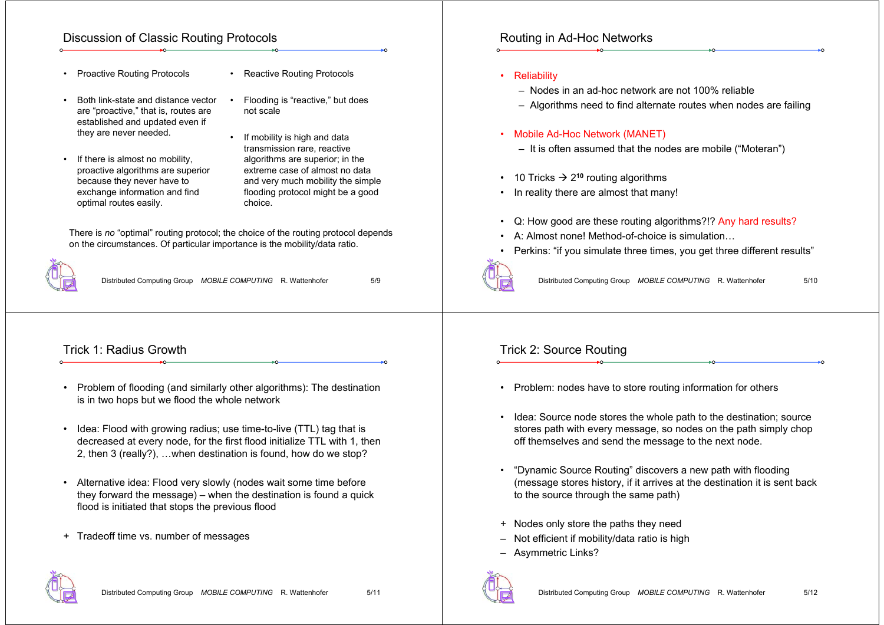#### Discussion of Classic Routing Protocols

- Proactive Routing Protocols
- Reactive Routing Protocols
- • Both link-state and distance vector are "proactive," that is, routes are established and updated even if they are never needed.
- • If there is almost no mobility, proactive algorithms are superior because they never have to exchange information and find optimal routes easily.
- Flooding is "reactive," but does not scale
- • If mobility is high and data transmission rare, reactive algorithms are superior; in the extreme case of almost no data and very much mobility the simple flooding protocol might be a good choice.

There is *no* "optimal" routing protocol; the choice of the routing protocol depends on the circumstances. Of particular importance is the mobility/data ratio.

•



Distributed Computing Group *MOBILE COMPUTING* R. Wattenhofer 5/9

#### Trick 1: Radius Growth

- Problem of flooding (and similarly other algorithms): The destination is in two hops but we flood the whole network
- • Idea: Flood with growing radius; use time-to-live (TTL) tag that is decreased at every node, for the first flood initialize TTL with 1, then 2, then 3 (really?), …when destination is found, how do we stop?
- Alternative idea: Flood very slowly (nodes wait some time before they forward the message) – when the destination is found a quick flood is initiated that stops the previous flood
- + Tradeoff time vs. number of messages



#### Distributed Computing Group *MOBILE COMPUTING* R. Wattenhofer 5/11

### Routing in Ad-Hoc Networks

- Reliability
	- Nodes in an ad-hoc network are not 100% reliable
	- Algorithms need to find alternate routes when nodes are failing

#### •Mobile Ad-Hoc Network (MANET)

- It is often assumed that the nodes are mobile ("Moteran")
- 10 Tricks  $\rightarrow$  2<sup>10</sup> routing algorithms
- In reality there are almost that many!
- Q: How good are these routing algorithms?!? Any hard results?
- •A: Almost none! Method-of-choice is simulation…
- •Perkins: "if you simulate three times, you get three different results"



Distributed Computing Group *MOBILE COMPUTING* R. Wattenhofer 5/10

#### Trick 2: Source Routing

- Problem: nodes have to store routing information for others
- Idea: Source node stores the whole path to the destination; source stores path with every message, so nodes on the path simply chop off themselves and send the message to the next node.
- • "Dynamic Source Routing" discovers a new path with flooding (message stores history, if it arrives at the destination it is sent back to the source through the same path)
- + Nodes only store the paths they need
- Not efficient if mobility/data ratio is high
- Asymmetric Links?

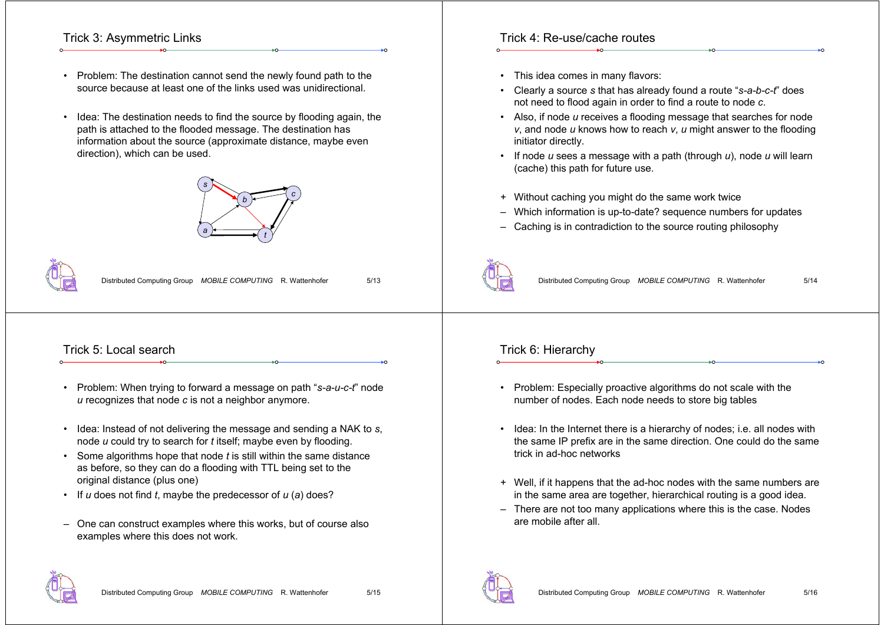#### Trick 3: Asymmetric Links

- Problem: The destination cannot send the newly found path to the source because at least one of the links used was unidirectional.
- • Idea: The destination needs to find the source by flooding again, the path is attached to the flooded message. The destination has information about the source (approximate distance, maybe even direction), which can be used.





Distributed Computing Group *MOBILE COMPUTING* R. Wattenhofer 5/13

#### Trick 5: Local search

- Problem: When trying to forward a message on path "*s-a-u-c-t*" node *u* recognizes that node *<sup>c</sup>* is not a neighbor anymore.
- Idea: Instead of not delivering the message and sending a NAK to *<sup>s</sup>*, node *u* could try to search for *t* itself; maybe even by flooding.
- Some algorithms hope that node *t* is still within the same distance as before, so they can do a flooding with TTL being set to the original distance (plus one)
- If *u* does not find *t*, maybe the predecessor of *<sup>u</sup>* (*a*) does?
- One can construct examples where this works, but of course also examples where this does not work.

#### Trick 4: Re-use/cache routes

- This idea comes in many flavors:
- • Clearly a source *<sup>s</sup>* that has already found a route "*s-a-b-c-t*" does not need to flood again in order to find a route to node *<sup>c</sup>*.
- Also, if node *<sup>u</sup>* receives a flooding message that searches for node *<sup>v</sup>*, and node *<sup>u</sup>* knows how to reach *v*, *<sup>u</sup>* might answer to the flooding initiator directly.
- If node *u* sees a message with a path (through *u*), node *<sup>u</sup>* will learn (cache) this path for future use.
- + Without caching you might do the same work twice
- Which information is up-to-date? sequence numbers for updates
- Caching is in contradiction to the source routing philosophy



Distributed Computing Group *MOBILE COMPUTING* R. Wattenhofer 5/14

#### Trick 6: Hierarchy

- Problem: Especially proactive algorithms do not scale with the number of nodes. Each node needs to store big tables
- Idea: In the Internet there is a hierarchy of nodes; i.e. all nodes with the same IP prefix are in the same direction. One could do the same trick in ad-hoc networks
- + Well, if it happens that the ad-hoc nodes with the same numbers are in the same area are together, hierarchical routing is a good idea.
- There are not too many applications where this is the case. Nodes are mobile after all.